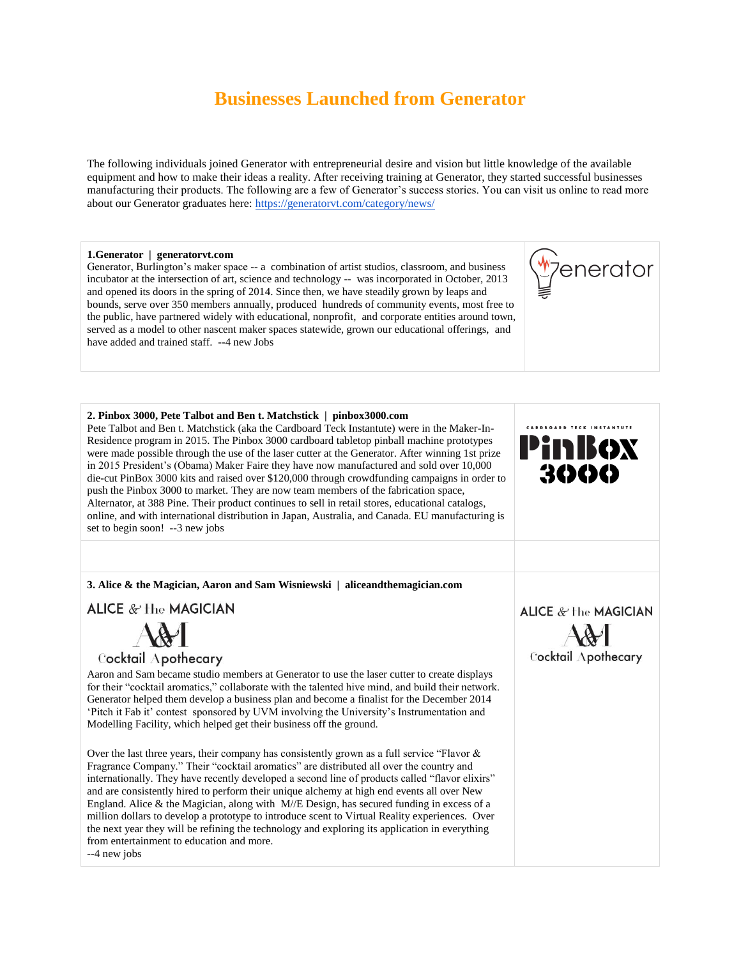# **Businesses Launched from Generator**

The following individuals joined Generator with entrepreneurial desire and vision but little knowledge of the available equipment and how to make their ideas a reality. After receiving training at Generator, they started successful businesses manufacturing their products. The following are a few of Generator's success stories. You can visit us online to read more about our Generator graduates here:<https://generatorvt.com/category/news/>

7enerator

#### **1.Generator | generatorvt.com**

Generator, Burlington's maker space -- a combination of artist studios, classroom, and business incubator at the intersection of art, science and technology -- was incorporated in October, 2013 and opened its doors in the spring of 2014. Since then, we have steadily grown by leaps and bounds, serve over 350 members annually, produced hundreds of community events, most free to the public, have partnered widely with educational, nonprofit, and corporate entities around town, served as a model to other nascent maker spaces statewide, grown our educational offerings, and have added and trained staff. --4 new Jobs

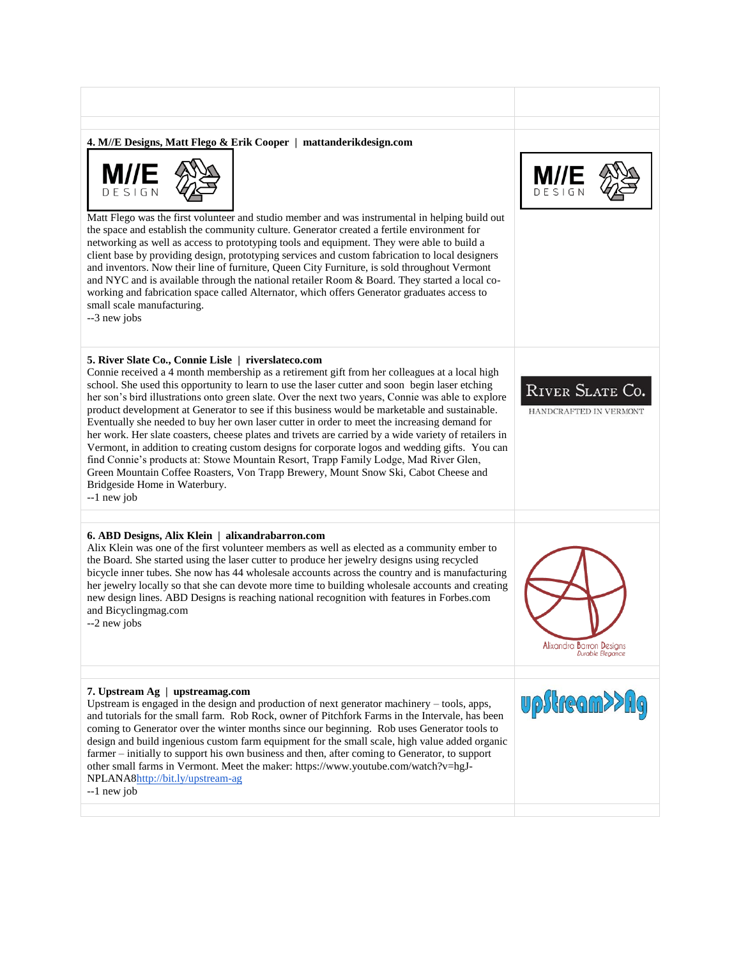### **4. M//E Designs, Matt Flego & Erik Cooper | mattanderikdesign.com**



Matt Flego was the first volunteer and studio member and was instrumental in helping build out the space and establish the community culture. Generator created a fertile environment for networking as well as access to prototyping tools and equipment. They were able to build a client base by providing design, prototyping services and custom fabrication to local designers and inventors. Now their line of furniture, Queen City Furniture, is sold throughout Vermont and NYC and is available through the national retailer Room & Board. They started a local coworking and fabrication space called Alternator, which offers Generator graduates access to small scale manufacturing.

--3 new jobs

## **5. River Slate Co., Connie Lisle | riverslateco.com**

Connie received a 4 month membership as a retirement gift from her colleagues at a local high school. She used this opportunity to learn to use the laser cutter and soon begin laser etching her son's bird illustrations onto green slate. Over the next two years, Connie was able to explore product development at Generator to see if this business would be marketable and sustainable. Eventually she needed to buy her own laser cutter in order to meet the increasing demand for her work. Her slate coasters, cheese plates and trivets are carried by a wide variety of retailers in Vermont, in addition to creating custom designs for corporate logos and wedding gifts. You can find Connie's products at: Stowe Mountain Resort, Trapp Family Lodge, Mad River Glen, Green Mountain Coffee Roasters, Von Trapp Brewery, Mount Snow Ski, Cabot Cheese and Bridgeside Home in Waterbury. --1 new job

## **6. ABD Designs, Alix Klein | alixandrabarron.com**

Alix Klein was one of the first volunteer members as well as elected as a community ember to the Board. She started using the laser cutter to produce her jewelry designs using recycled bicycle inner tubes. She now has 44 wholesale accounts across the country and is manufacturing her jewelry locally so that she can devote more time to building wholesale accounts and creating new design lines. ABD Designs is reaching national recognition with features in Forbes.com and Bicyclingmag.com

--2 new jobs

#### **7. Upstream Ag | upstreamag.com**

Upstream is engaged in the design and production of next generator machinery – tools, apps, and tutorials for the small farm. Rob Rock, owner of Pitchfork Farms in the Intervale, has been coming to Generator over the winter months since our beginning. Rob uses Generator tools to design and build ingenious custom farm equipment for the small scale, high value added organic farmer – initially to support his own business and then, after coming to Generator, to support other small farms in Vermont. Meet the maker: https://www.youtube.com/watch?v=hgJ-NPLANA[8http://bit.ly/upstream-ag](http://bit.ly/upstream-ag)

--1 new job





HANDCRAFTED IN VERMONT



Alixandra Barron Designs Durable Elegance